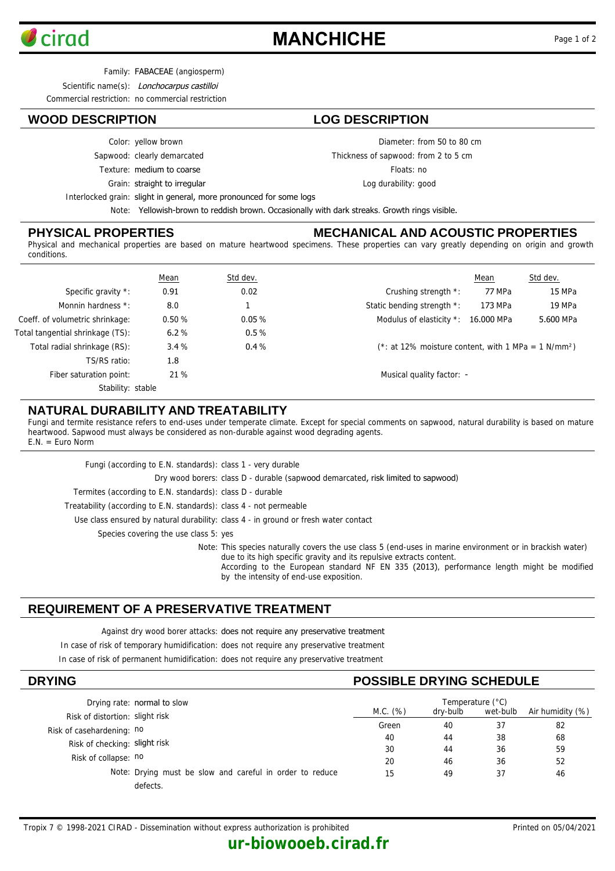

# **MANCHICHE** Page 1 of 2

Family: FABACEAE (angiosperm)

Scientific name(s): Lonchocarpus castilloi

Commercial restriction: no commercial restriction

# **WOOD DESCRIPTION LOG DESCRIPTION**

Color: yellow brown

Sapwood: clearly demarcated

Texture: medium to coarse

Grain: straight to irregular

Diameter: from 50 to 80 cm

Thickness of sapwood: from 2 to 5 cm

Floats: no

Log durability: good

Interlocked grain: slight in general, more pronounced for some logs

Note: Yellowish-brown to reddish brown. Occasionally with dark streaks. Growth rings visible.

### **PHYSICAL PROPERTIES**

### **MECHANICAL AND ACOUSTIC PROPERTIES**

Physical and mechanical properties are based on mature heartwood specimens. These properties can vary greatly depending on origin and growth conditions.

|                                  | <b>Mean</b> | Std dev. |                                                                    | Mean    | Std dev.  |
|----------------------------------|-------------|----------|--------------------------------------------------------------------|---------|-----------|
| Specific gravity *:              | 0.91        | 0.02     | Crushing strength *:                                               | 77 MPa  | 15 MPa    |
| Monnin hardness *:               | 8.0         |          | Static bending strength *:                                         | 173 MPa | 19 MPa    |
| Coeff. of volumetric shrinkage:  | 0.50%       | 0.05%    | Modulus of elasticity *: 16.000 MPa                                |         | 5.600 MPa |
| Total tangential shrinkage (TS): | 6.2%        | 0.5%     |                                                                    |         |           |
| Total radial shrinkage (RS):     | 3.4%        | 0.4%     | $(*: at 12\%$ moisture content, with 1 MPa = 1 N/mm <sup>2</sup> ) |         |           |
| TS/RS ratio:                     | 1.8         |          |                                                                    |         |           |
| Fiber saturation point:          | 21 %        |          | Musical quality factor: -                                          |         |           |
| Stability: stable                |             |          |                                                                    |         |           |

## **NATURAL DURABILITY AND TREATABILITY**

Fungi and termite resistance refers to end-uses under temperate climate. Except for special comments on sapwood, natural durability is based on mature heartwood. Sapwood must always be considered as non-durable against wood degrading agents. E.N. = Euro Norm

| Fungi (according to E.N. standards): class 1 - very durable         |                                                                                                                                                                                                                                                                                                                           |
|---------------------------------------------------------------------|---------------------------------------------------------------------------------------------------------------------------------------------------------------------------------------------------------------------------------------------------------------------------------------------------------------------------|
|                                                                     | Dry wood borers: class D - durable (sapwood demarcated, risk limited to sapwood)                                                                                                                                                                                                                                          |
| Termites (according to E.N. standards): class D - durable           |                                                                                                                                                                                                                                                                                                                           |
| Treatability (according to E.N. standards): class 4 - not permeable |                                                                                                                                                                                                                                                                                                                           |
|                                                                     | Use class ensured by natural durability: class 4 - in ground or fresh water contact                                                                                                                                                                                                                                       |
| Species covering the use class 5: yes                               |                                                                                                                                                                                                                                                                                                                           |
|                                                                     | Note: This species naturally covers the use class 5 (end-uses in marine environment or in brackish water)<br>due to its high specific gravity and its repulsive extracts content.<br>According to the European standard NF EN 335 (2013), performance length might be modified<br>by the intensity of end-use exposition. |

# **REQUIREMENT OF A PRESERVATIVE TREATMENT**

Against dry wood borer attacks: does not require any preservative treatment

In case of risk of temporary humidification: does not require any preservative treatment

In case of risk of permanent humidification: does not require any preservative treatment

| <b>DRYING</b>                                            |          | <b>POSSIBLE DRYING SCHEDULE</b> |          |                  |  |
|----------------------------------------------------------|----------|---------------------------------|----------|------------------|--|
| Drying rate: normal to slow                              |          | Temperature (°C)                |          |                  |  |
| Risk of distortion: slight risk                          | M.C. (%) | dry-bulb                        | wet-bulb | Air humidity (%) |  |
| Risk of casehardening: no                                | Green    | 40                              | 37       | 82               |  |
|                                                          | 40       | 44                              | 38       | 68               |  |
| Risk of checking: slight risk                            | 30       | 44                              | 36       | 59               |  |
| Risk of collapse: no                                     | 20       | 46                              | 36       | 52               |  |
| Note: Drying must be slow and careful in order to reduce | 15       | 49                              | 37       | 46               |  |
| defects.                                                 |          |                                 |          |                  |  |

**ur-biowooeb.cirad.fr**